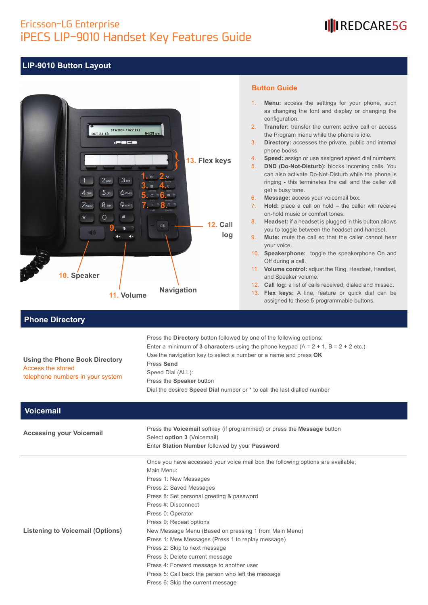### Ericsson-LG Enterprise iPECS LIP-9010 Handset Key Features Guide

## III REDCARE5G

#### **LIP-9010 Button Layout**



#### **Button Guide**

- 1. **Menu:** access the settings for your phone, such as changing the font and display or changing the configuration.
- 2. **Transfer:** transfer the current active call or access the Program menu while the phone is idle.
- 3. **Directory:** accesses the private, public and internal phone books.
- 4. **Speed:** assign or use assigned speed dial numbers.
- 5. **DND (Do-Not-Disturb):** blocks incoming calls. You can also activate Do-Not-Disturb while the phone is ringing - this terminates the call and the caller will get a busy tone.
- 6. **Message:** access your voicemail box.
- 7. **Hold:** place a call on hold the caller will receive on-hold music or comfort tones.
- 8. **Headset:** if a headset is plugged in this button allows you to toggle between the headset and handset.
- 9. **Mute:** mute the call so that the caller cannot hear your voice.
- 10. **Speakerphone:** toggle the speakerphone On and Off during a call.
- 11. **Volume control:** adjust the Ring, Headset, Handset, and Speaker volume.
- 12. **Call log:** a list of calls received, dialed and missed.
- 13. **Flex keys:** A line, feature or quick dial can be assigned to these 5 programmable buttons.

#### **Phone Directory**

#### **Using the Phone Book Directory** Access the stored telephone numbers in your system

Enter a minimum of **3 characters** using the phone keypad  $(A = 2 + 1, B = 2 + 2$  etc.) Use the navigation key to select a number or a name and press **OK** Press **Send** Speed Dial (ALL): Press the **Speaker** button

Press the **Directory** button followed by one of the following options:

Dial the desired **Speed Dial** number or \* to call the last dialled number

| <b>Voicemail</b>                 |                                                                                                                                                          |
|----------------------------------|----------------------------------------------------------------------------------------------------------------------------------------------------------|
| <b>Accessing your Voicemail</b>  | Press the Voicemail softkey (if programmed) or press the Message button<br>Select option 3 (Voicemail)<br>Enter Station Number followed by your Password |
|                                  | Once you have accessed your voice mail box the following options are available;                                                                          |
|                                  | Main Menu:                                                                                                                                               |
|                                  | Press 1: New Messages                                                                                                                                    |
|                                  | Press 2: Saved Messages                                                                                                                                  |
|                                  | Press 8: Set personal greeting & password                                                                                                                |
|                                  | Press #: Disconnect                                                                                                                                      |
|                                  | Press 0: Operator                                                                                                                                        |
|                                  | Press 9: Repeat options                                                                                                                                  |
| Listening to Voicemail (Options) | New Message Menu (Based on pressing 1 from Main Menu)                                                                                                    |
|                                  | Press 1: Mew Messages (Press 1 to replay message)                                                                                                        |
|                                  | Press 2: Skip to next message                                                                                                                            |
|                                  | Press 3: Delete current message                                                                                                                          |
|                                  | Press 4: Forward message to another user                                                                                                                 |
|                                  | Press 5: Call back the person who left the message                                                                                                       |
|                                  | Press 6: Skip the current message                                                                                                                        |